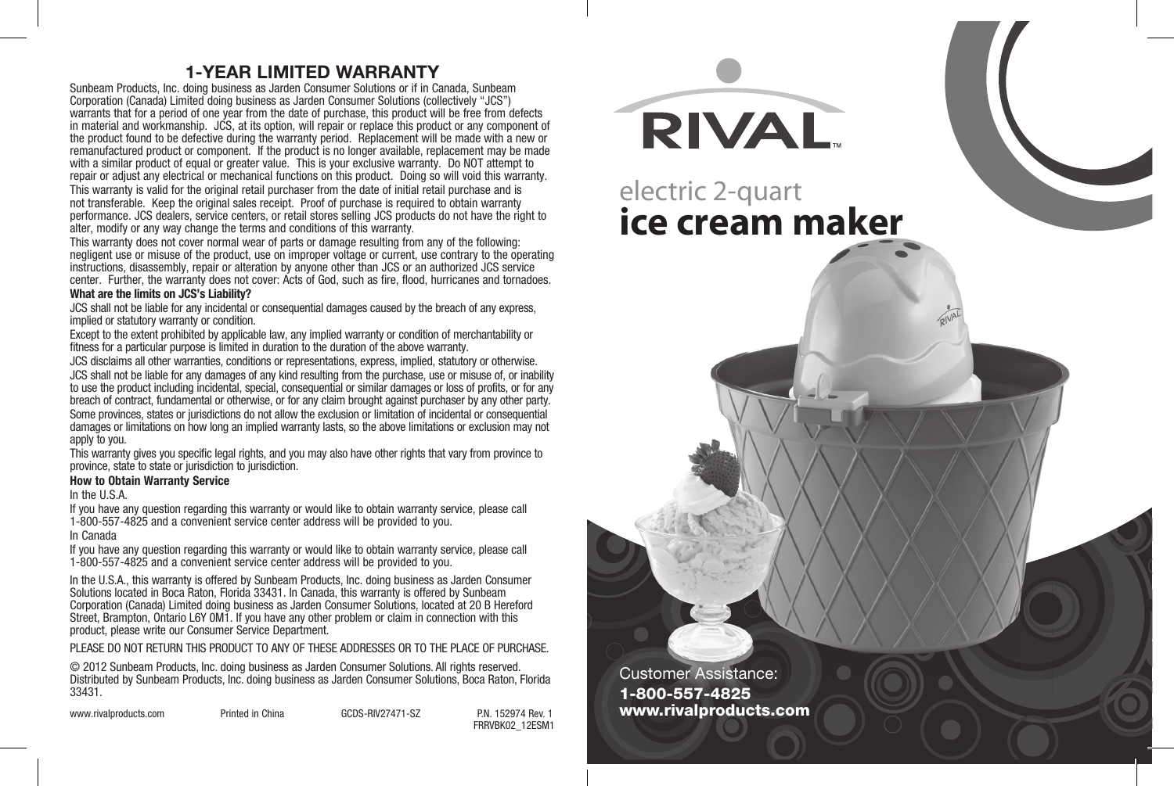## **1-YEAR LIMITED WARRANTY**

Sunbeam Products, Inc. doing business as Jarden Consumer Solutions or if in Canada, Sunbeam Corporation (Canada) Limited doing business as Jarden Consumer Solutions (collectively "JCS") warrants that for a period of one year from the date of purchase, this product will be free from defects in material and workmanship. JCS, at its option, will repair or replace this product or any component of the product found to be defective during the warranty period. Replacement will be made with a new or remanufactured product or component. If the product is no longer available, replacement may be made with a similar product of equal or greater value. This is your exclusive warranty. Do NOT attempt to repair or adjust any electrical or mechanical functions on this product. Doing so will void this warranty.

This warranty is valid for the original retail purchaser from the date of initial retail purchase and is not transferable. Keep the original sales receipt. Proof of purchase is required to obtain warranty performance. JCS dealers, service centers, or retail stores selling JCS products do not have the right to alter, modify or any way change the terms and conditions of this warranty.

This warranty does not cover normal wear of parts or damage resulting from any of the following: negligent use or misuse of the product, use on improper voltage or current, use contrary to the operating instructions, disassembly, repair or alteration by anyone other than JCS or an authorized JCS service center. Further, the warranty does not cover: Acts of God, such as fire, flood, hurricanes and tornadoes.

### **What are the limits on JCS's Liability?**

JCS shall not be liable for any incidental or consequential damages caused by the breach of any express, implied or statutory warranty or condition.

Except to the extent prohibited by applicable law, any implied warranty or condition of merchantability or fitness for a particular purpose is limited in duration to the duration of the above warranty.

JCS disclaims all other warranties, conditions or representations, express, implied, statutory or otherwise. JCS shall not be liable for any damages of any kind resulting from the purchase, use or misuse of, or inability to use the product including incidental, special, consequential or similar damages or loss of profits, or for any breach of contract, fundamental or otherwise, or for any claim brought against purchaser by any other party. Some provinces, states or jurisdictions do not allow the exclusion or limitation of incidental or consequential damages or limitations on how long an implied warranty lasts, so the above limitations or exclusion may not apply to you.

This warranty gives you specific legal rights, and you may also have other rights that vary from province to province, state to state or jurisdiction to jurisdiction.

### **How to Obtain Warranty Service**

In the U.S.A.

If you have any question regarding this warranty or would like to obtain warranty service, please call 1-800-557-4825 and a convenient service center address will be provided to you.

In Canada

If you have any question regarding this warranty or would like to obtain warranty service, please call 1-800-557-4825 and a convenient service center address will be provided to you.

In the U.S.A., this warranty is offered by Sunbeam Products, Inc. doing business as Jarden Consumer Solutions located in Boca Raton, Florida 33431. In Canada, this warranty is offered by Sunbeam Corporation (Canada) Limited doing business as Jarden Consumer Solutions, located at 20 B Hereford Street, Brampton, Ontario L6Y 0M1. If you have any other problem or claim in connection with this product, please write our Consumer Service Department.

PLEASE DO NOT RETURN THIS PRODUCT TO ANY OF THESE ADDRESSES OR TO THE PLACE OF PURCHASE.

© 2012 Sunbeam Products, Inc. doing business as Jarden Consumer Solutions. All rights reserved. Distributed by Sunbeam Products, Inc. doing business as Jarden Consumer Solutions, Boca Raton, Florida 33431.

| www.rivalproducts.com |  |
|-----------------------|--|
|-----------------------|--|

Printed in China **GCDS-RIV27471-SZ** PN 152974 Rev. 1 FRRVBK02\_12ESM1 Customer Assistance: 1-800-557-4825 www.rivalproducts.com **RIVAL** electric 2-quart **ice cream maker**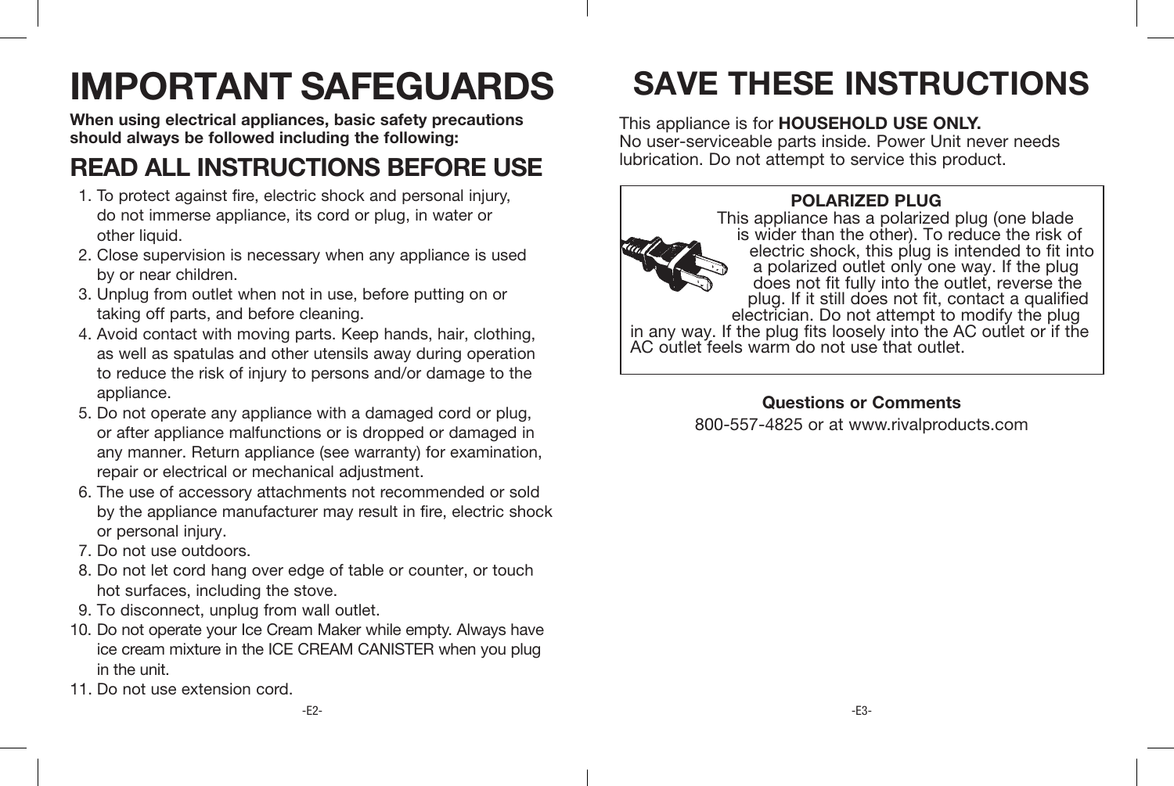# **IMPORTANT SAFEGUARDS**

**When using electrical appliances, basic safety precautions should always be followed including the following:**

# **READ ALL INSTRUCTIONS BEFORE USE**

- 1. To protect against fire, electric shock and personal injury, do not immerse appliance, its cord or plug, in water or other liquid.
- 2. Close supervision is necessary when any appliance is used by or near children.
- 3. Unplug from outlet when not in use, before putting on or taking off parts, and before cleaning.
- 4. Avoid contact with moving parts. Keep hands, hair, clothing, as well as spatulas and other utensils away during operation to reduce the risk of injury to persons and/or damage to the appliance.
- 5. Do not operate any appliance with a damaged cord or plug, or after appliance malfunctions or is dropped or damaged in any manner. Return appliance (see warranty) for examination, repair or electrical or mechanical adjustment.
- 6. The use of accessory attachments not recommended or sold by the appliance manufacturer may result in fire, electric shock or personal injury.
- 7. Do not use outdoors.
- 8. Do not let cord hang over edge of table or counter, or touch hot surfaces, including the stove.
- 9. To disconnect, unplug from wall outlet.
- 10. Do not operate your Ice Cream Maker while empty. Always have ice cream mixture in the ICE CREAM CANISTER when you plug in the unit.
- 11. Do not use extension cord.

# **SAVE THESE INSTRUCTIONS**

### This appliance is for **HOUSEHOLD USE ONLY.**

No user-serviceable parts inside. Power Unit never needs lubrication. Do not attempt to service this product.

### **POLARIZED PLUG**



This appliance has a polarized plug (one blade is wider than the other). To reduce the risk of electric shock, this plug is intended to fit into a polarized outlet only one way. If the plug does not fit fully into the outlet, reverse the plug. If it still does not fit, contact a qualified electrician. Do not attempt to modify the plug in any way. If the plug fits loosely into the AC outlet or if the AC outlet feels warm do not use that outlet.

> **Questions or Comments** 800-557-4825 or at www.rivalproducts.com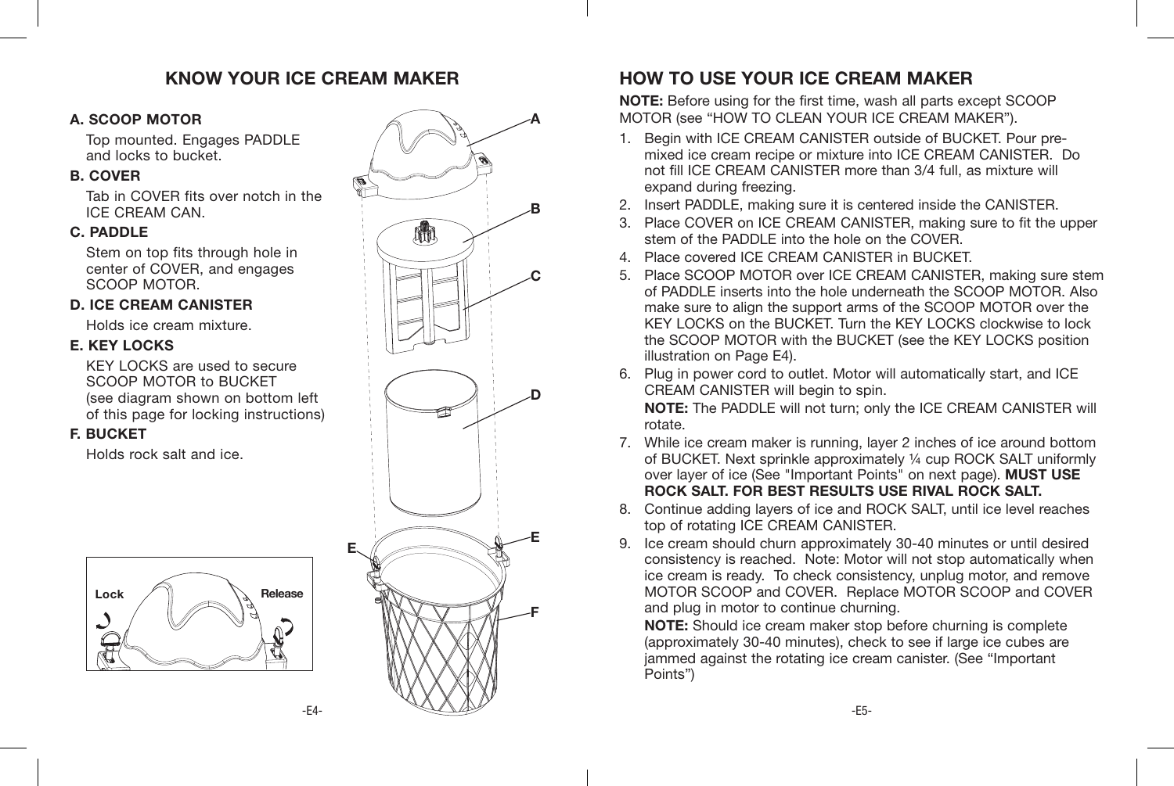### **KNOW YOUR ICE CREAM MAKER**

### **A. SCOOP MOTOR**

Top mounted. Engages PADDLE and locks to bucket.

### **B. COVER**

Tab in COVER fits over notch in the ICE CREAM CAN.

### **C. PADDLE**

Stem on top fits through hole in center of COVER, and engages SCOOP MOTOR.

### **D. ICE CREAM CANISTER**

Holds ice cream mixture.

### **E. KEY LOCKS**

KEY LOCKS are used to secure SCOOP MOTOR to BUCKET (see diagram shown on bottom left of this page for locking instructions)

### **F. BUCKET**

Holds rock salt and ice.





**E**



# **HOW TO USE YOUR ICE CREAM MAKER**

**NOTE:** Before using for the first time, wash all parts except SCOOP MOTOR (see "HOW TO CLEAN YOUR ICE CREAM MAKER").

- 1. Begin with ICE CREAM CANISTER outside of BUCKET. Pour premixed ice cream recipe or mixture into ICE CREAM CANISTER. Do not fill ICE CREAM CANISTER more than 3/4 full, as mixture will expand during freezing.
- 2. Insert PADDLE, making sure it is centered inside the CANISTER.
- 3. Place COVER on ICE CREAM CANISTER, making sure to fit the upper stem of the PADDLE into the hole on the COVER.
- 4. Place covered ICE CREAM CANISTER in BUCKET.
- 5. Place SCOOP MOTOR over ICE CREAM CANISTER, making sure stem of PADDLE inserts into the hole underneath the SCOOP MOTOR. Also make sure to align the support arms of the SCOOP MOTOR over the KEY LOCKS on the BUCKET. Turn the KEY LOCKS clockwise to lock the SCOOP MOTOR with the BUCKET (see the KEY LOCKS position illustration on Page E4).
- 6. Plug in power cord to outlet. Motor will automatically start, and ICE CREAM CANISTER will begin to spin. **NOTE:** The PADDLE will not turn; only the ICE CREAM CANISTER will rotate.
- 7. While ice cream maker is running, layer 2 inches of ice around bottom of BUCKET. Next sprinkle approximately ¼ cup ROCK SALT uniformly over layer of ice (See "Important Points" on next page). **MUST USE ROCK SALT. FOR BEST RESULTS USE RIVAL ROCK SALT.**
- 8. Continue adding layers of ice and ROCK SALT, until ice level reaches top of rotating ICE CREAM CANISTER.
- 9. Ice cream should churn approximately 30-40 minutes or until desired consistency is reached. Note: Motor will not stop automatically when ice cream is ready. To check consistency, unplug motor, and remove MOTOR SCOOP and COVER. Replace MOTOR SCOOP and COVER and plug in motor to continue churning.

**NOTE:** Should ice cream maker stop before churning is complete (approximately 30-40 minutes), check to see if large ice cubes are jammed against the rotating ice cream canister. (See "Important Points")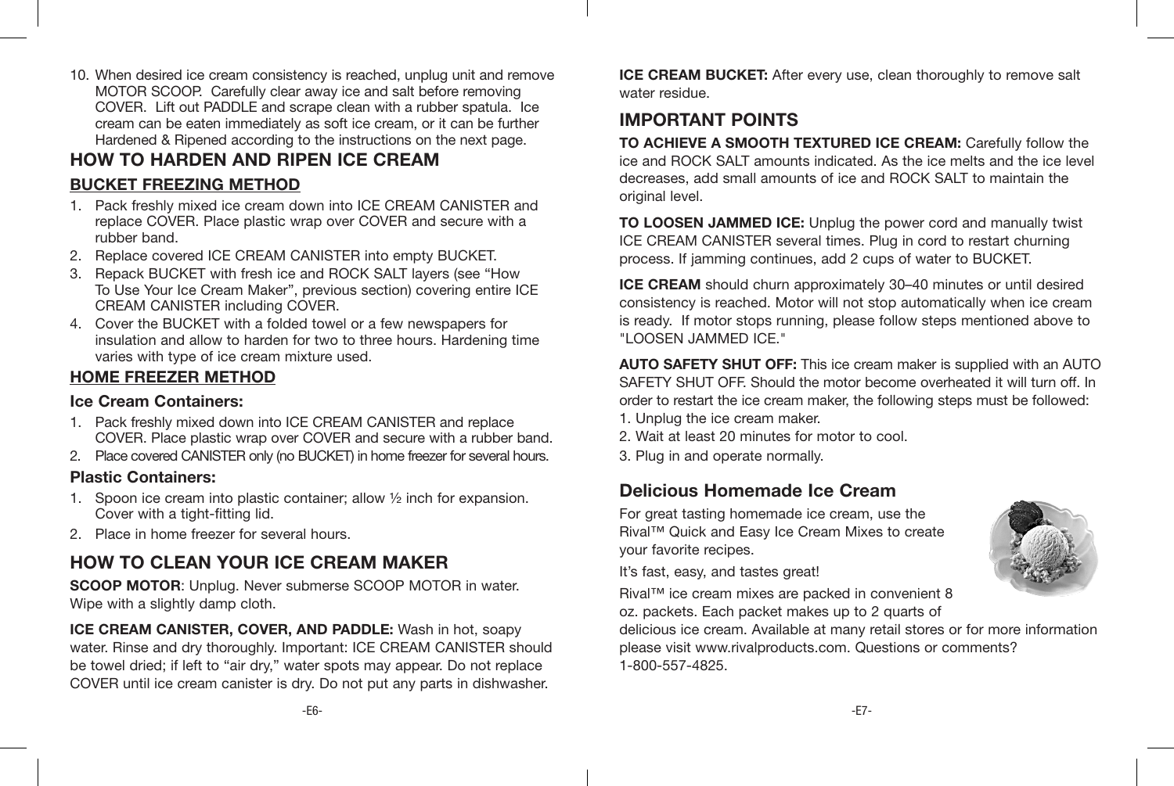10. When desired ice cream consistency is reached, unplug unit and remove MOTOR SCOOP. Carefully clear away ice and salt before removing COVER. Lift out PADDLE and scrape clean with a rubber spatula. Ice cream can be eaten immediately as soft ice cream, or it can be further Hardened & Ripened according to the instructions on the next page.

## **HOW TO HARDEN AND RIPEN ICE CREAM BUCKET FREEZING METHOD**

- 1. Pack freshly mixed ice cream down into ICE CREAM CANISTER and replace COVER. Place plastic wrap over COVER and secure with a rubber band.
- 2. Replace covered ICE CREAM CANISTER into empty BUCKET.
- 3. Repack BUCKET with fresh ice and ROCK SALT layers (see "How To Use Your Ice Cream Maker", previous section) covering entire ICE CREAM CANISTER including COVER.
- 4. Cover the BUCKET with a folded towel or a few newspapers for insulation and allow to harden for two to three hours. Hardening time varies with type of ice cream mixture used.

### **HOME FREEZER METHOD**

### **Ice Cream Containers:**

- 1. Pack freshly mixed down into ICE CREAM CANISTER and replace COVER. Place plastic wrap over COVER and secure with a rubber band.
- 2. Place covered CANISTER only (no BUCKET) in home freezer for several hours.

### **Plastic Containers:**

- 1. Spoon ice cream into plastic container; allow  $\frac{1}{2}$  inch for expansion. Cover with a tight-fitting lid.
- 2. Place in home freezer for several hours.

# **HOW TO CLEAN YOUR ICE CREAM MAKER**

**SCOOP MOTOR**: Unplug. Never submerse SCOOP MOTOR in water. Wipe with a slightly damp cloth.

**ICE CREAM CANISTER, COVER, AND PADDLE:** Wash in hot, soapy water. Rinse and dry thoroughly. Important: ICE CREAM CANISTER should be towel dried; if left to "air dry," water spots may appear. Do not replace COVER until ice cream canister is dry. Do not put any parts in dishwasher.

**ICE CREAM BUCKET:** After every use, clean thoroughly to remove salt water residue.

# **IMPORTANT POINTS**

**TO ACHIEVE A SMOOTH TEXTURED ICE CREAM:** Carefully follow the ice and ROCK SALT amounts indicated. As the ice melts and the ice level decreases, add small amounts of ice and ROCK SALT to maintain the original level.

**TO LOOSEN JAMMED ICE:** Unplug the power cord and manually twist ICE CREAM CANISTER several times. Plug in cord to restart churning process. If jamming continues, add 2 cups of water to BUCKET.

**ICE CREAM** should churn approximately 30–40 minutes or until desired consistency is reached. Motor will not stop automatically when ice cream is ready. If motor stops running, please follow steps mentioned above to "LOOSEN JAMMED ICE."

**AUTO SAFETY SHUT OFF:** This ice cream maker is supplied with an AUTO SAFETY SHUT OFF. Should the motor become overheated it will turn off. In order to restart the ice cream maker, the following steps must be followed:

- 1. Unplug the ice cream maker.
- 2. Wait at least 20 minutes for motor to cool.
- 3. Plug in and operate normally.

# **Delicious Homemade Ice Cream**

For great tasting homemade ice cream, use the Rival™ Quick and Easy Ice Cream Mixes to create your favorite recipes.

It's fast, easy, and tastes great!

Rival™ ice cream mixes are packed in convenient 8 oz. packets. Each packet makes up to 2 quarts of

delicious ice cream. Available at many retail stores or for more information please visit www.rivalproducts.com. Questions or comments? 1-800-557-4825.

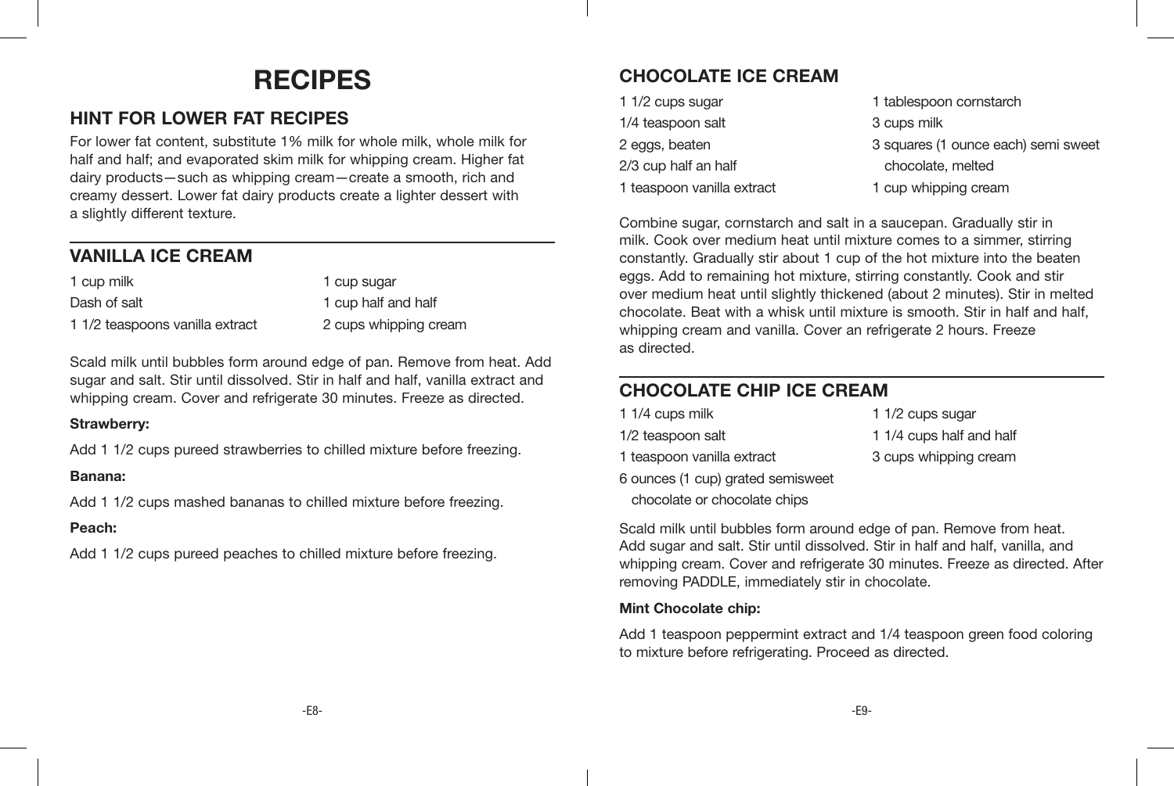# **RECIPES**

# **HINT FOR LOWER FAT RECIPES**

For lower fat content, substitute 1% milk for whole milk, whole milk for half and half; and evaporated skim milk for whipping cream. Higher fat dairy products—such as whipping cream—create a smooth, rich and creamy dessert. Lower fat dairy products create a lighter dessert with a slightly different texture.

# **VANILLA ICE CREAM**

1 cup milk Dash of salt 1 1/2 teaspoons vanilla extract 1 cup sugar

1 cup half and half 2 cups whipping cream

Scald milk until bubbles form around edge of pan. Remove from heat. Add sugar and salt. Stir until dissolved. Stir in half and half, vanilla extract and whipping cream. Cover and refrigerate 30 minutes. Freeze as directed.

### **Strawberry:**

Add 1 1/2 cups pureed strawberries to chilled mixture before freezing.

### **Banana:**

Add 1 1/2 cups mashed bananas to chilled mixture before freezing.

### **Peach:**

Add 1 1/2 cups pureed peaches to chilled mixture before freezing.

# **CHOCOLATE ICE CREAM**

| 1 1/2 cups sugar           | 1 tablespoon cornstarch             |
|----------------------------|-------------------------------------|
| 1/4 teaspoon salt          | 3 cups milk                         |
| 2 eggs, beaten             | 3 squares (1 ounce each) semi sweet |
| 2/3 cup half an half       | chocolate, melted                   |
| 1 teaspoon vanilla extract | 1 cup whipping cream                |

Combine sugar, cornstarch and salt in a saucepan. Gradually stir in milk. Cook over medium heat until mixture comes to a simmer, stirring constantly. Gradually stir about 1 cup of the hot mixture into the beaten eggs. Add to remaining hot mixture, stirring constantly. Cook and stir over medium heat until slightly thickened (about 2 minutes). Stir in melted chocolate. Beat with a whisk until mixture is smooth. Stir in half and half, whipping cream and vanilla. Cover an refrigerate 2 hours. Freeze as directed.

# **CHOCOLATE CHIP ICE CREAM**

| 1 1/4 cups milk                   | 1 1/2 cups sugar         |
|-----------------------------------|--------------------------|
| 1/2 teaspoon salt                 | 1 1/4 cups half and half |
| 1 teaspoon vanilla extract        | 3 cups whipping cream    |
| 6 ounces (1 cup) grated semisweet |                          |
| chocolate or chocolate chips      |                          |

Scald milk until bubbles form around edge of pan. Remove from heat. Add sugar and salt. Stir until dissolved. Stir in half and half, vanilla, and whipping cream. Cover and refrigerate 30 minutes. Freeze as directed. After removing PADDLE, immediately stir in chocolate.

### **Mint Chocolate chip:**

Add 1 teaspoon peppermint extract and 1/4 teaspoon green food coloring to mixture before refrigerating. Proceed as directed.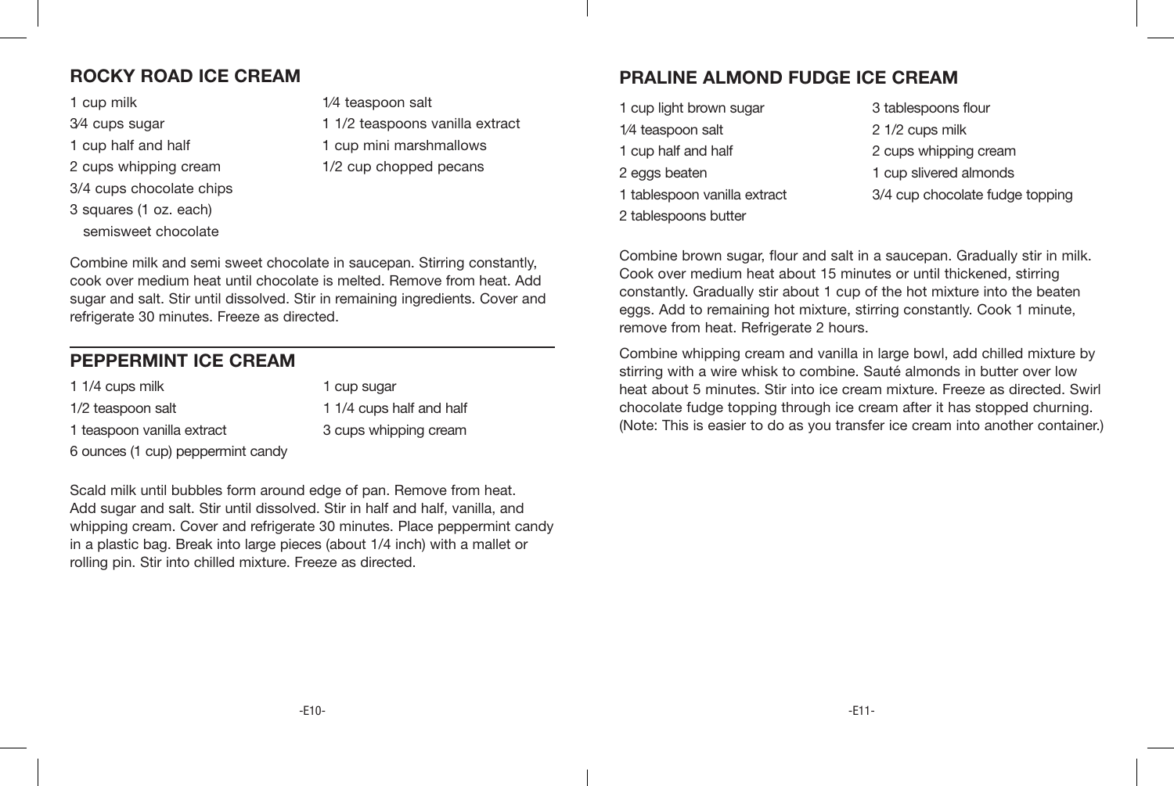# **ROCKY ROAD ICE CREAM**

1 cup milk 3⁄4 cups sugar

- 1 cup half and half
- 2 cups whipping cream
- 3/4 cups chocolate chips
- 3 squares (1 oz. each) semisweet chocolate

1⁄4 teaspoon salt 1 1/2 teaspoons vanilla extract 1 cup mini marshmallows 1/2 cup chopped pecans

Combine milk and semi sweet chocolate in saucepan. Stirring constantly, cook over medium heat until chocolate is melted. Remove from heat. Add sugar and salt. Stir until dissolved. Stir in remaining ingredients. Cover and refrigerate 30 minutes. Freeze as directed.

# **PEPPERMINT ICE CREAM**

| 1 1/4 cups milk                   | 1 cup sugar              |
|-----------------------------------|--------------------------|
| 1/2 teaspoon salt                 | 1 1/4 cups half and half |
| 1 teaspoon vanilla extract        | 3 cups whipping cream    |
| 6 ounces (1 cup) peppermint candy |                          |

Scald milk until bubbles form around edge of pan. Remove from heat. Add sugar and salt. Stir until dissolved. Stir in half and half, vanilla, and whipping cream. Cover and refrigerate 30 minutes. Place peppermint candy in a plastic bag. Break into large pieces (about 1/4 inch) with a mallet or rolling pin. Stir into chilled mixture. Freeze as directed.

# **PRALINE ALMOND FUDGE ICE CREAM**

| 1 cup light brown sugar      | 3 tablespoons flour             |
|------------------------------|---------------------------------|
| 1/4 teaspoon salt            | 2 1/2 cups milk                 |
| 1 cup half and half          | 2 cups whipping cream           |
| 2 eggs beaten                | 1 cup slivered almonds          |
| 1 tablespoon vanilla extract | 3/4 cup chocolate fudge topping |
| 2 tablespoons butter         |                                 |

Combine brown sugar, flour and salt in a saucepan. Gradually stir in milk. Cook over medium heat about 15 minutes or until thickened, stirring constantly. Gradually stir about 1 cup of the hot mixture into the beaten eggs. Add to remaining hot mixture, stirring constantly. Cook 1 minute, remove from heat. Refrigerate 2 hours.

Combine whipping cream and vanilla in large bowl, add chilled mixture by stirring with a wire whisk to combine. Sauté almonds in butter over low heat about 5 minutes. Stir into ice cream mixture. Freeze as directed. Swirl chocolate fudge topping through ice cream after it has stopped churning. (Note: This is easier to do as you transfer ice cream into another container.)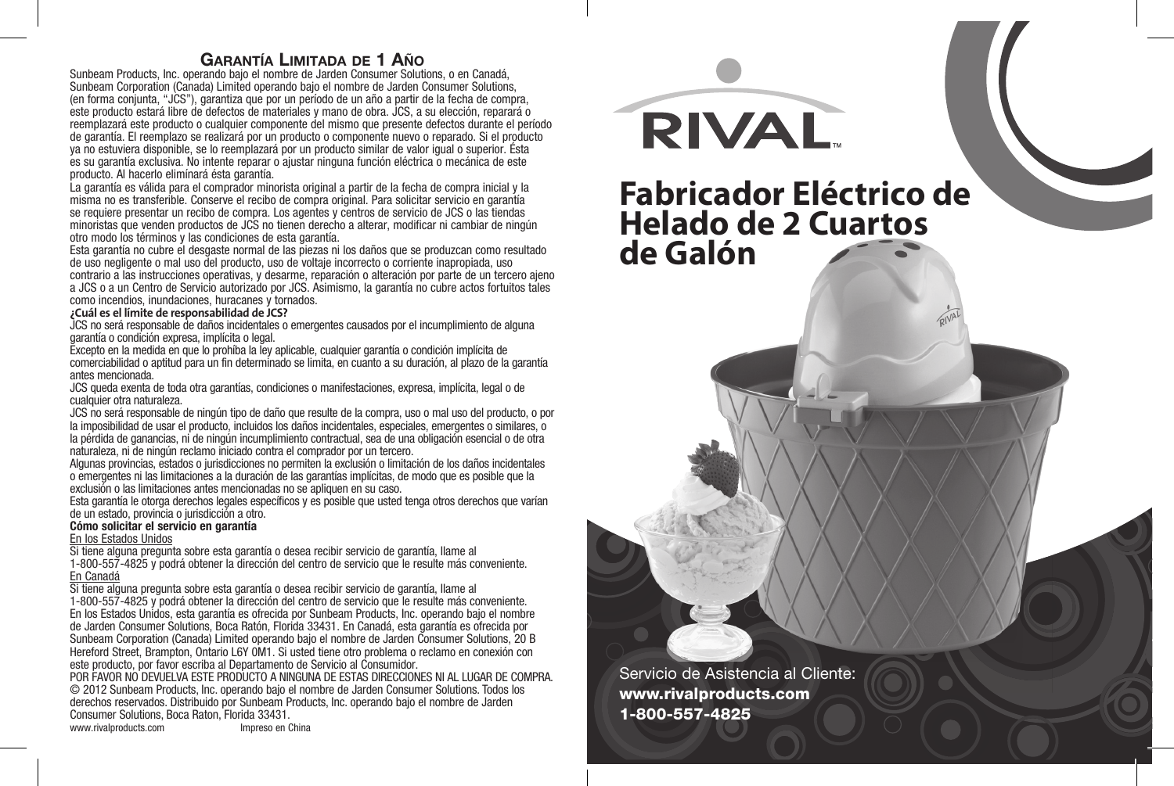### **Garantía Limitada de 1 Año**

Sunbeam Products, Inc. operando bajo el nombre de Jarden Consumer Solutions, o en Canadá, Sunbeam Corporation (Canada) Limited operando bajo el nombre de Jarden Consumer Solutions, (en forma conjunta, "JCS"), garantiza que por un período de un año a partir de la fecha de compra, este producto estará libre de defectos de materiales y mano de obra. JCS, a su elección, reparará o reemplazará este producto o cualquier componente del mismo que presente defectos durante el período de garantía. El reemplazo se realizará por un producto o componente nuevo o reparado. Si el producto ya no estuviera disponible, se lo reemplazará por un producto similar de valor igual o superior. Ésta es su garantía exclusiva. No intente reparar o ajustar ninguna función eléctrica o mecánica de este producto. Al hacerlo elimínará ésta garantía.

La garantía es válida para el comprador minorista original a partir de la fecha de compra inicial y la misma no es transferible. Conserve el recibo de compra original. Para solicitar servicio en garantía se requiere presentar un recibo de compra. Los agentes y centros de servicio de JCS o las tiendas minoristas que venden productos de JCS no tienen derecho a alterar, modificar ni cambiar de ningún otro modo los términos y las condiciones de esta garantía.

Esta garantía no cubre el desgaste normal de las piezas ni los daños que se produzcan como resultado de uso negligente o mal uso del producto, uso de voltaje incorrecto o corriente inapropiada, uso contrario a las instrucciones operativas, y desarme, reparación o alteración por parte de un tercero aieno a JCS o a un Centro de Servicio autorizado por JCS. Asimismo, la garantía no cubre actos fortuitos tales como incendios, inundaciones, huracanes y tornados.

### **¿Cuál es el límite de responsabilidad de JCS?**

JCS no será responsable de daños incidentales o emergentes causados por el incumplimiento de alguna garantía o condición expresa, implícita o legal.

Excepto en la medida en que lo prohíba la ley aplicable, cualquier garantía o condición implícita de comerciabilidad o aptitud para un fin determinado se limita, en cuanto a su duración, al plazo de la garantía antes mencionada.

JCS queda exenta de toda otra garantías, condiciones o manifestaciones, expresa, implícita, legal o de cualquier otra naturaleza.

JCS no será responsable de ningún tipo de daño que resulte de la compra, uso o mal uso del producto, o por la imposibilidad de usar el producto, incluidos los daños incidentales, especiales, emergentes o similares, o la pérdida de ganancias, ni de ningún incumplimiento contractual, sea de una obligación esencial o de otra naturaleza, ni de ningún reclamo iniciado contra el comprador por un tercero.

Algunas provincias, estados o jurisdicciones no permiten la exclusión o limitación de los daños incidentales o emergentes ni las limitaciones a la duración de las garantías implícitas, de modo que es posible que la exclusión o las limitaciones antes mencionadas no se apliquen en su caso.

Esta garantía le otorga derechos legales específicos y es posible que usted tenga otros derechos que varían de un estado, provincia o jurisdicción a otro.

### **Cómo solicitar el servicio en garantía**

<u>En los Estados Unidos</u><br>Si tiene alguna pregunta sobre esta garantía o desea recibir servicio de garantía, llame al 1-800-557-4825 y podrá obtener la dirección del centro de servicio que le resulte más conveniente. En Canadá

Si tiene alguna pregunta sobre esta garantía o desea recibir servicio de garantía, llame al

1-800-557-4825 y podrá obtener la dirección del centro de servicio que le resulte más conveniente. En los Estados Unidos, esta garantía es ofrecida por Sunbeam Products, Inc. operando bajo el nombre de Jarden Consumer Solutions, Boca Ratón, Florida 33431. En Canadá, esta garantía es ofrecida por Sunbeam Corporation (Canada) Limited operando bajo el nombre de Jarden Consumer Solutions, 20 B Hereford Street, Brampton, Ontario L6Y 0M1. Si usted tiene otro problema o reclamo en conexión con este producto, por favor escriba al Departamento de Servicio al Consumidor.

POR FAVOR NO DEVUELVA ESTE PRODUCTO A NINGUNA DE ESTAS DIRECCIONES NI AL LUGAR DE COMPRA. © 2012 Sunbeam Products, Inc. operando bajo el nombre de Jarden Consumer Solutions. Todos los derechos reservados. Distribuido por Sunbeam Products, Inc. operando bajo el nombre de Jarden Consumer Solutions, Boca Raton, Florida 33431.

www.rivalproducts.com

**RIVAL** 

# **Fabricador Eléctrico de Helado de 2 Cuartos de Galón**

Servicio de Asistencia al Cliente: www.rivalproducts.com 1-800-557-4825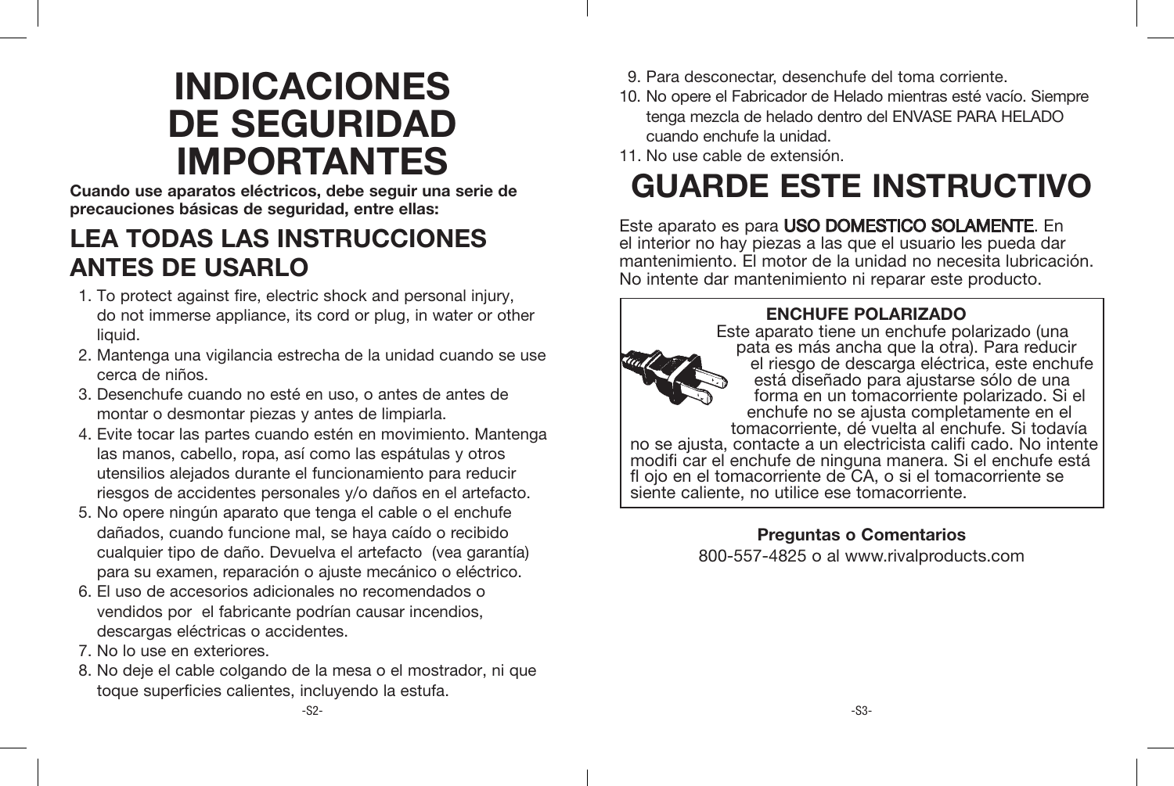# **INDICACIONES DE SEGURIDAD IMPORTANTES**

**Cuando use aparatos eléctricos, debe seguir una serie de precauciones básicas de seguridad, entre ellas:** 

# **LEA TODAS LAS INSTRUCCIONES ANTES DE USARLO**

- 1. To protect against fire, electric shock and personal injury, do not immerse appliance, its cord or plug, in water or other liquid.
- 2. Mantenga una vigilancia estrecha de la unidad cuando se use cerca de niños.
- 3. Desenchufe cuando no esté en uso, o antes de antes de montar o desmontar piezas y antes de limpiarla.
- 4. Evite tocar las partes cuando estén en movimiento. Mantenga las manos, cabello, ropa, así como las espátulas y otros utensilios alejados durante el funcionamiento para reducir riesgos de accidentes personales y/o daños en el artefacto.
- 5. No opere ningún aparato que tenga el cable o el enchufe dañados, cuando funcione mal, se haya caído o recibido cualquier tipo de daño. Devuelva el artefacto (vea garantía) para su examen, reparación o ajuste mecánico o eléctrico.
- 6. El uso de accesorios adicionales no recomendados o vendidos por el fabricante podrían causar incendios, descargas eléctricas o accidentes.
- 7. No lo use en exteriores.
- 8. No deje el cable colgando de la mesa o el mostrador, ni que toque superficies calientes, incluyendo la estufa.
- 9. Para desconectar, desenchufe del toma corriente.
- 10. No opere el Fabricador de Helado mientras esté vacío. Siempre tenga mezcla de helado dentro del ENVASE PARA HELADO cuando enchufe la unidad.
- 11. No use cable de extensión.

# **GUARDE ESTE INSTRUCTIVO**

Este aparato es para USO DOMESTICO SOLAMENTE. En el interior no hay piezas a las que el usuario les pueda dar mantenimiento. El motor de la unidad no necesita lubricación. No intente dar mantenimiento ni reparar este producto.



# **Preguntas o Comentarios**

800-557-4825 o al www.rivalproducts.com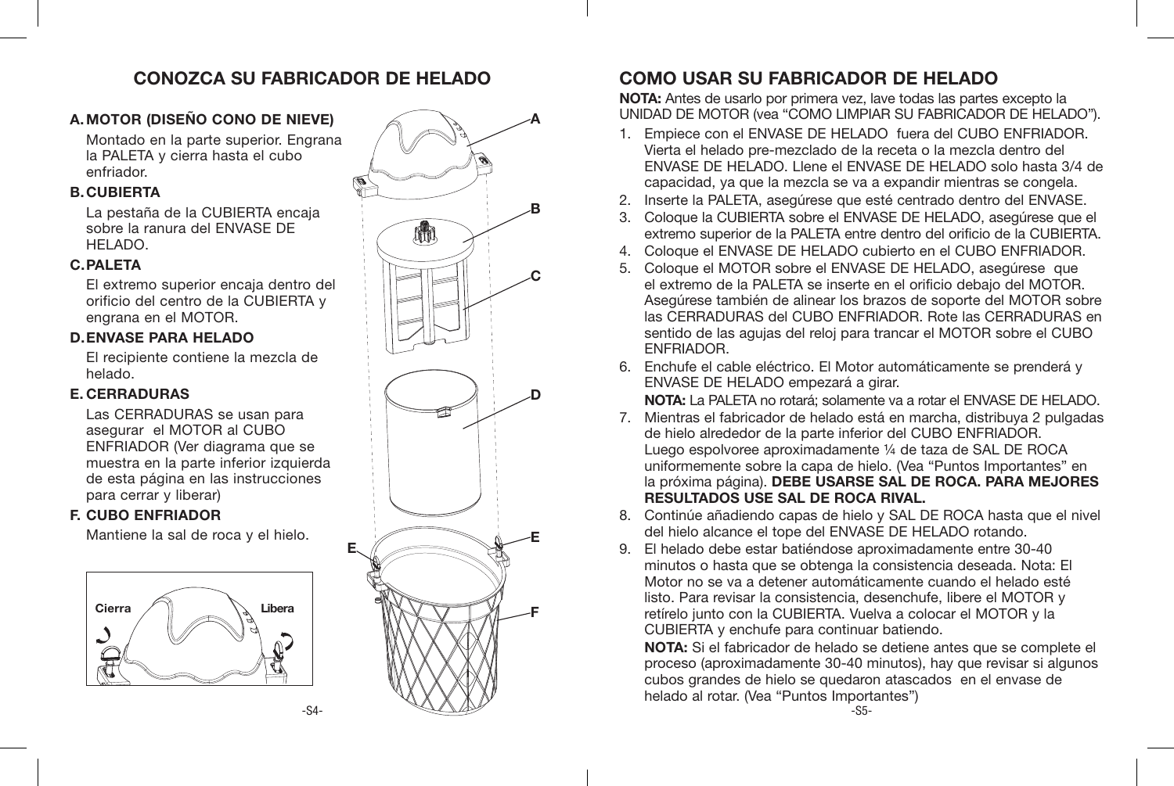## **CONOZCA SU FABRICADOR DE HELADO**

### **A.MOTOR (DISEÑO CONO DE NIEVE)**

Montado en la parte superior. Engrana la PALETA y cierra hasta el cubo enfriador.

### **B.CUBIERTA**

La pestaña de la CUBIERTA encaja sobre la ranura del ENVASE DE HELADO.

### **C.PALETA**

El extremo superior encaja dentro del orificio del centro de la CUBIERTA y engrana en el MOTOR.

### **D.ENVASE PARA HELADO**

El recipiente contiene la mezcla de helado.

### **E. CERRADURAS**

Las CERRADURAS se usan para asegurar el MOTOR al CUBO ENFRIADOR (Ver diagrama que se muestra en la parte inferior izquierda de esta página en las instrucciones para cerrar y liberar)

### **F. CUBO ENFRIADOR**

Mantiene la sal de roca y el hielo.



**E**



# **COMO USAR SU FABRICADOR DE HELADO**

**NOTA:** Antes de usarlo por primera vez, lave todas las partes excepto la UNIDAD DE MOTOR (vea "COMO LIMPIAR SU FABRICADOR DE HELADO").

- 1. Empiece con el ENVASE DE HELADO fuera del CUBO ENFRIADOR. Vierta el helado pre-mezclado de la receta o la mezcla dentro del ENVASE DE HELADO. Llene el ENVASE DE HELADO solo hasta 3/4 de capacidad, ya que la mezcla se va a expandir mientras se congela.
- 2. Inserte la PALETA, asegúrese que esté centrado dentro del ENVASE.
- 3. Coloque la CUBIERTA sobre el ENVASE DE HELADO, asegúrese que el extremo superior de la PALETA entre dentro del orificio de la CUBIERTA.
- 4. Coloque el ENVASE DE HELADO cubierto en el CUBO ENFRIADOR.
- 5. Coloque el MOTOR sobre el ENVASE DE HELADO, asegúrese que el extremo de la PALETA se inserte en el orificio debajo del MOTOR. Asegúrese también de alinear los brazos de soporte del MOTOR sobre las CERRADURAS del CUBO ENFRIADOR. Rote las CERRADURAS en sentido de las agujas del reloj para trancar el MOTOR sobre el CUBO ENFRIADOR.
- 6. Enchufe el cable eléctrico. El Motor automáticamente se prenderá y ENVASE DE HELADO empezará a girar.

**NOTA:** La PALETA no rotará; solamente va a rotar el ENVASE DE HELADO.

- 7. Mientras el fabricador de helado está en marcha, distribuya 2 pulgadas de hielo alrededor de la parte inferior del CUBO ENFRIADOR. Luego espolvoree aproximadamente ¼ de taza de SAL DE ROCA uniformemente sobre la capa de hielo. (Vea "Puntos Importantes" en la próxima página). **DEBE USARSE SAL DE ROCA. PARA MEJORES RESULTADOS USE SAL DE ROCA RIVAL.**
- 8. Continúe añadiendo capas de hielo y SAL DE ROCA hasta que el nivel del hielo alcance el tope del ENVASE DE HELADO rotando.
- 9. El helado debe estar batiéndose aproximadamente entre 30-40 minutos o hasta que se obtenga la consistencia deseada. Nota: El Motor no se va a detener automáticamente cuando el helado esté listo. Para revisar la consistencia, desenchufe, libere el MOTOR y retírelo junto con la CUBIERTA. Vuelva a colocar el MOTOR y la CUBIERTA y enchufe para continuar batiendo.

**NOTA:** Si el fabricador de helado se detiene antes que se complete el proceso (aproximadamente 30-40 minutos), hay que revisar si algunos cubos grandes de hielo se quedaron atascados en el envase de helado al rotar. (Vea "Puntos Importantes")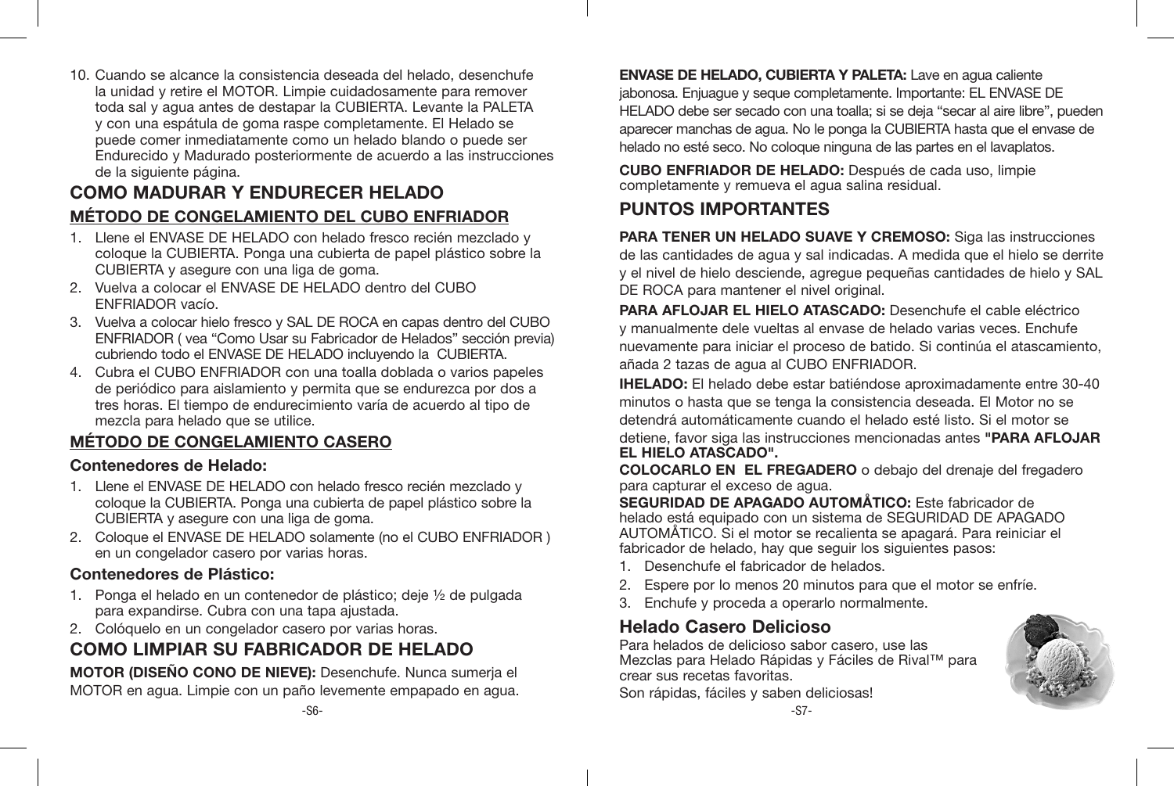10. Cuando se alcance la consistencia deseada del helado, desenchufe la unidad y retire el MOTOR. Limpie cuidadosamente para remover toda sal y agua antes de destapar la CUBIERTA. Levante la PALETA y con una espátula de goma raspe completamente. El Helado se puede comer inmediatamente como un helado blando o puede ser Endurecido y Madurado posteriormente de acuerdo a las instrucciones de la siguiente página.

### **COMO MADURAR Y ENDURECER HELADO MÉTODO DE CONGELAMIENTO DEL CUBO ENFRIADOR**

- 1. Llene el ENVASE DE HELADO con helado fresco recién mezclado y coloque la CUBIERTA. Ponga una cubierta de papel plástico sobre la CUBIERTA y asegure con una liga de goma.
- 2. Vuelva a colocar el ENVASE DE HELADO dentro del CUBO ENFRIADOR vacío.
- 3. Vuelva a colocar hielo fresco y SAL DE ROCA en capas dentro del CUBO ENFRIADOR ( vea "Como Usar su Fabricador de Helados" sección previa) cubriendo todo el ENVASE DE HELADO incluyendo la CUBIERTA.
- 4. Cubra el CUBO ENFRIADOR con una toalla doblada o varios papeles de periódico para aislamiento y permita que se endurezca por dos a tres horas. El tiempo de endurecimiento varía de acuerdo al tipo de mezcla para helado que se utilice.

### **MÉTODO DE CONGELAMIENTO CASERO**

### **Contenedores de Helado:**

- 1. Llene el ENVASE DE HELADO con helado fresco recién mezclado y coloque la CUBIERTA. Ponga una cubierta de papel plástico sobre la CUBIERTA y asegure con una liga de goma.
- 2. Coloque el ENVASE DE HELADO solamente (no el CUBO ENFRIADOR ) en un congelador casero por varias horas.

### **Contenedores de Plástico:**

- 1. Ponga el helado en un contenedor de plástico; deje ½ de pulgada para expandirse. Cubra con una tapa ajustada.
- 2. Colóquelo en un congelador casero por varias horas.

# **COMO LIMPIAR SU FABRICADOR DE HELADO**

**MOTOR (DISEÑO CONO DE NIEVE):** Desenchufe. Nunca sumerja el MOTOR en agua. Limpie con un paño levemente empapado en agua.

**ENVASE DE HELADO, CUBIERTA Y PALETA:** Lave en agua caliente jabonosa. Enjuague y seque completamente. Importante: EL ENVASE DE HELADO debe ser secado con una toalla; si se deja "secar al aire libre", pueden aparecer manchas de agua. No le ponga la CUBIERTA hasta que el envase de helado no esté seco. No coloque ninguna de las partes en el lavaplatos.

**CUBO ENFRIADOR DE HELADO:** Después de cada uso, limpie completamente y remueva el agua salina residual.

# **PUNTOS IMPORTANTES**

**PARA TENER UN HELADO SUAVE Y CREMOSO:** Siga las instrucciones de las cantidades de agua y sal indicadas. A medida que el hielo se derrite y el nivel de hielo desciende, agregue pequeñas cantidades de hielo y SAL DE ROCA para mantener el nivel original.

**PARA AFLOJAR EL HIELO ATASCADO:** Desenchufe el cable eléctrico y manualmente dele vueltas al envase de helado varias veces. Enchufe nuevamente para iniciar el proceso de batido. Si continúa el atascamiento, añada 2 tazas de agua al CUBO ENFRIADOR.

**IHELADO:** El helado debe estar batiéndose aproximadamente entre 30-40 minutos o hasta que se tenga la consistencia deseada. El Motor no se detendrá automáticamente cuando el helado esté listo. Si el motor se detiene, favor siga las instrucciones mencionadas antes **"PARA AFLOJAR EL HIELO ATASCADO".**

**COLOCARLO EN EL FREGADERO** o debajo del drenaje del fregadero para capturar el exceso de agua.

**SEGURIDAD DE APAGADO AUTOMÅTICO:** Este fabricador de helado está equipado con un sistema de SEGURIDAD DE APAGADO AUTOMÅTICO. Si el motor se recalienta se apagará. Para reiniciar el fabricador de helado, hay que seguir los siguientes pasos:

- 1. Desenchufe el fabricador de helados.
- 2. Espere por lo menos 20 minutos para que el motor se enfríe.
- 3. Enchufe y proceda a operarlo normalmente.

## **Helado Casero Delicioso**

Para helados de delicioso sabor casero, use las Mezclas para Helado Rápidas y Fáciles de Rival™ para crear sus recetas favoritas.

Son rápidas, fáciles y saben deliciosas!

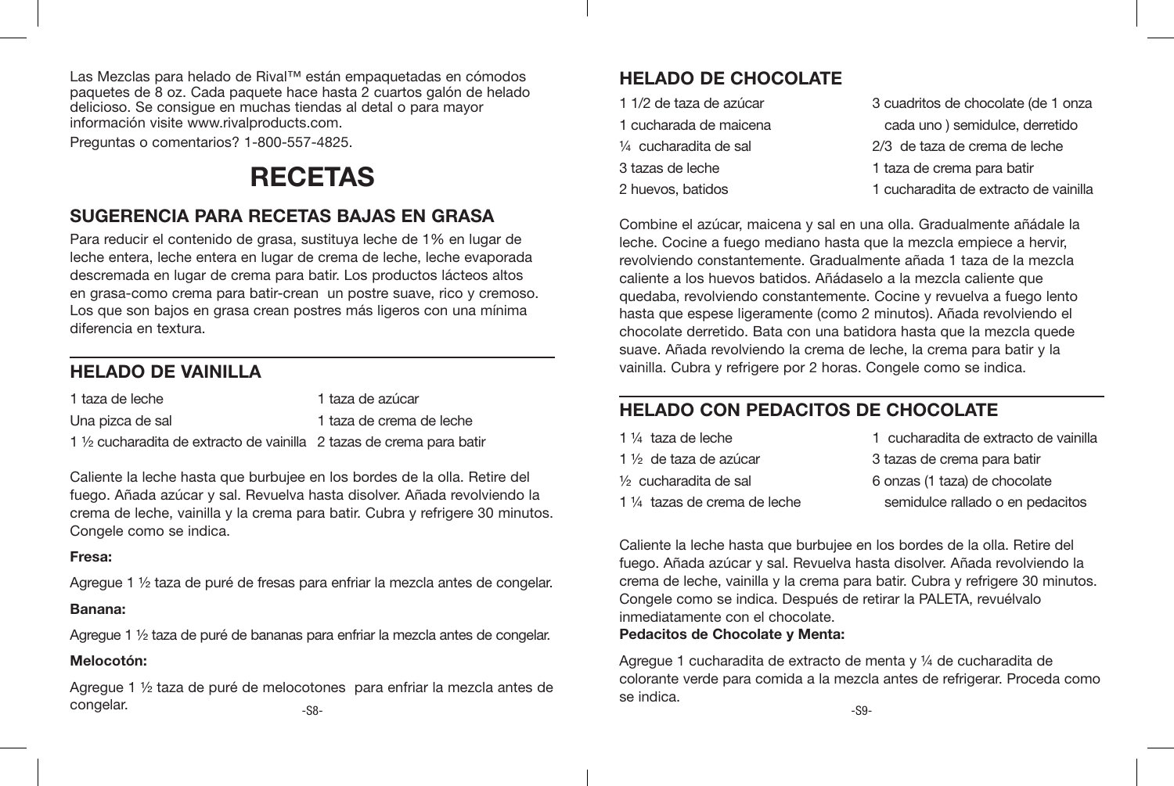Las Mezclas para helado de Rival™ están empaquetadas en cómodos paquetes de 8 oz. Cada paquete hace hasta 2 cuartos galón de helado delicioso. Se consigue en muchas tiendas al detal o para mayor información visite www.rivalproducts.com.

Preguntas o comentarios? 1-800-557-4825.

# **RECETAS**

### **SUGERENCIA PARA RECETAS BAJAS EN GRASA**

Para reducir el contenido de grasa, sustituya leche de 1% en lugar de leche entera, leche entera en lugar de crema de leche, leche evaporada descremada en lugar de crema para batir. Los productos lácteos altos en grasa-como crema para batir-crean un postre suave, rico y cremoso. Los que son bajos en grasa crean postres más ligeros con una mínima diferencia en textura.

# **HELADO DE VAINILLA**

| 1 taza de leche                                                                | 1 taza de azúcar         |
|--------------------------------------------------------------------------------|--------------------------|
| Una pizca de sal                                                               | 1 taza de crema de leche |
| $1\frac{1}{2}$ cucharadita de extracto de vainilla 2 tazas de crema para batir |                          |

Caliente la leche hasta que burbujee en los bordes de la olla. Retire del fuego. Añada azúcar y sal. Revuelva hasta disolver. Añada revolviendo la crema de leche, vainilla y la crema para batir. Cubra y refrigere 30 minutos. Congele como se indica.

### **Fresa:**

Agregue 1 ½ taza de puré de fresas para enfriar la mezcla antes de congelar.

### **Banana:**

Agregue 1 ½ taza de puré de bananas para enfriar la mezcla antes de congelar.

### **Melocotón:**

Agregue 1 ½ taza de puré de melocotones para enfriar la mezcla antes de  $_{-S8-}$   $_{-S8-}$ 

# **HELADO DE CHOCOLATE**

| 1 1/2 de taza de azúcar | 3 cuadritos de chocolate (de 1 onza   |
|-------------------------|---------------------------------------|
| 1 cucharada de maicena  | cada uno) semidulce, derretido        |
| 1⁄4 cucharadita de sal  | 2/3 de taza de crema de leche         |
| 3 tazas de leche        | 1 taza de crema para batir            |
| 2 huevos, batidos       | 1 cucharadita de extracto de vainilla |
|                         |                                       |

Combine el azúcar, maicena y sal en una olla. Gradualmente añádale la leche. Cocine a fuego mediano hasta que la mezcla empiece a hervir, revolviendo constantemente. Gradualmente añada 1 taza de la mezcla caliente a los huevos batidos. Añádaselo a la mezcla caliente que quedaba, revolviendo constantemente. Cocine y revuelva a fuego lento hasta que espese ligeramente (como 2 minutos). Añada revolviendo el chocolate derretido. Bata con una batidora hasta que la mezcla quede suave. Añada revolviendo la crema de leche, la crema para batir y la vainilla. Cubra y refrigere por 2 horas. Congele como se indica.

# **HELADO CON PEDACITOS DE CHOCOLATE**

| 1 1/ <sub>4</sub> taza de leche | 1 cucharadita de extracto de vainilla |
|---------------------------------|---------------------------------------|
| 1 ½ de taza de azúcar           | 3 tazas de crema para batir           |
| 1⁄2 cucharadita de sal          | 6 onzas (1 taza) de chocolate         |
| 1 ¼ tazas de crema de leche     | semidulce rallado o en pedacitos      |

Caliente la leche hasta que burbujee en los bordes de la olla. Retire del fuego. Añada azúcar y sal. Revuelva hasta disolver. Añada revolviendo la crema de leche, vainilla y la crema para batir. Cubra y refrigere 30 minutos. Congele como se indica. Después de retirar la PALETA, revuélvalo inmediatamente con el chocolate.

### **Pedacitos de Chocolate y Menta:**

Agregue 1 cucharadita de extracto de menta y ¼ de cucharadita de colorante verde para comida a la mezcla antes de refrigerar. Proceda como se indica.